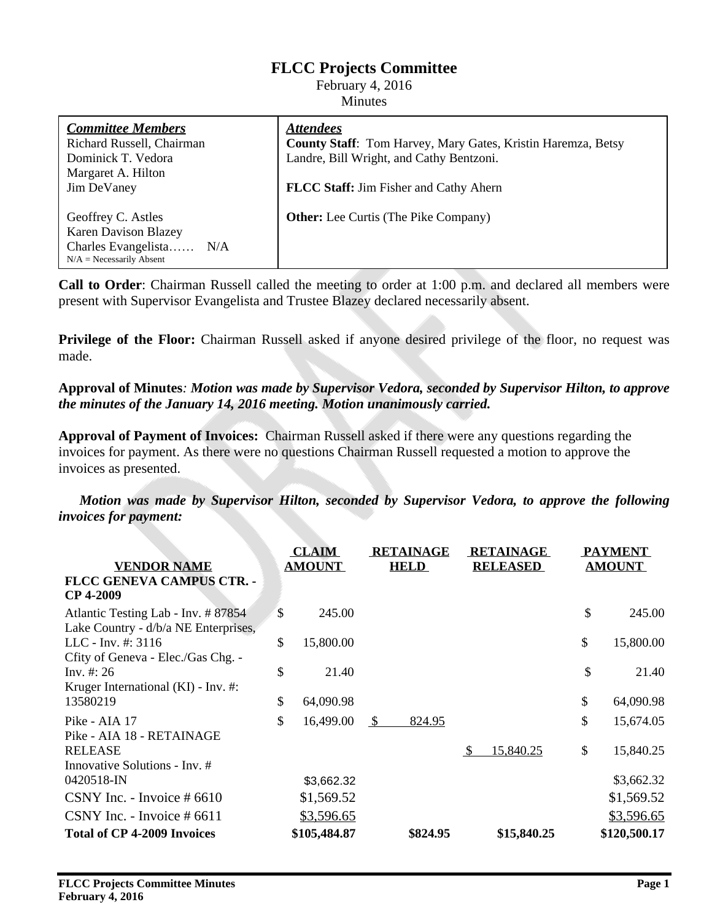# **FLCC Projects Committee**

February 4, 2016 **Minutes** 

| <b>Committee Members</b>    | <b>Attendees</b>                                             |
|-----------------------------|--------------------------------------------------------------|
| Richard Russell, Chairman   | County Staff: Tom Harvey, Mary Gates, Kristin Haremza, Betsy |
| Dominick T. Vedora          | Landre, Bill Wright, and Cathy Bentzoni.                     |
| Margaret A. Hilton          |                                                              |
| Jim DeVaney                 | <b>FLCC Staff:</b> Jim Fisher and Cathy Ahern                |
|                             |                                                              |
| Geoffrey C. Astles          | <b>Other:</b> Lee Curtis (The Pike Company)                  |
| <b>Karen Davison Blazey</b> |                                                              |
| Charles Evangelista<br>N/A  |                                                              |
| $N/A$ = Necessarily Absent  |                                                              |

**Call to Order**: Chairman Russell called the meeting to order at 1:00 p.m. and declared all members were present with Supervisor Evangelista and Trustee Blazey declared necessarily absent.

**Privilege of the Floor:** Chairman Russell asked if anyone desired privilege of the floor, no request was made.

## **Approval of Minutes***: Motion was made by Supervisor Vedora, seconded by Supervisor Hilton, to approve the minutes of the January 14, 2016 meeting. Motion unanimously carried.*

**Approval of Payment of Invoices:** Chairman Russell asked if there were any questions regarding the invoices for payment. As there were no questions Chairman Russell requested a motion to approve the invoices as presented.

*Motion was made by Supervisor Hilton, seconded by Supervisor Vedora, to approve the following invoices for payment:*

| <b>VENDOR NAME</b>                                                          | <b>CLAIM</b><br><b>AMOUNT</b> |              | <b>RETAINAGE</b><br><b>HELD</b> | <b>RETAINAGE</b><br><b>RELEASED</b> | <b>PAYMENT</b><br><b>AMOUNT</b> |  |
|-----------------------------------------------------------------------------|-------------------------------|--------------|---------------------------------|-------------------------------------|---------------------------------|--|
| <b>FLCC GENEVA CAMPUS CTR. -</b><br><b>CP 4-2009</b>                        |                               |              |                                 |                                     |                                 |  |
| Atlantic Testing Lab - Inv. # 87854<br>Lake Country - d/b/a NE Enterprises, | \$                            | 245.00       |                                 |                                     | \$<br>245.00                    |  |
| LLC - Inv. $\#$ : 3116<br>Cfity of Geneva - Elec./Gas Chg. -                | \$                            | 15,800.00    |                                 |                                     | \$<br>15,800.00                 |  |
| Inv. #: 26<br>Kruger International (KI) - Inv. #:                           | \$                            | 21.40        |                                 |                                     | \$<br>21.40                     |  |
| 13580219                                                                    | \$                            | 64,090.98    |                                 |                                     | \$<br>64,090.98                 |  |
| Pike - AIA 17<br>Pike - AIA 18 - RETAINAGE                                  | \$                            | 16,499.00    | <sup>\$</sup><br>824.95         |                                     | \$<br>15,674.05                 |  |
| <b>RELEASE</b><br>Innovative Solutions - Inv. #                             |                               |              |                                 | 15,840.25<br><sup>\$</sup>          | \$<br>15,840.25                 |  |
| 0420518-IN                                                                  |                               | \$3,662.32   |                                 |                                     | \$3,662.32                      |  |
| CSNY Inc. - Invoice $#6610$                                                 |                               | \$1,569.52   |                                 |                                     | \$1,569.52                      |  |
| CSNY Inc. - Invoice $#6611$                                                 |                               | \$3,596.65   |                                 |                                     | \$3,596.65                      |  |
| <b>Total of CP 4-2009 Invoices</b>                                          |                               | \$105,484.87 | \$824.95                        | \$15,840.25                         | \$120,500.17                    |  |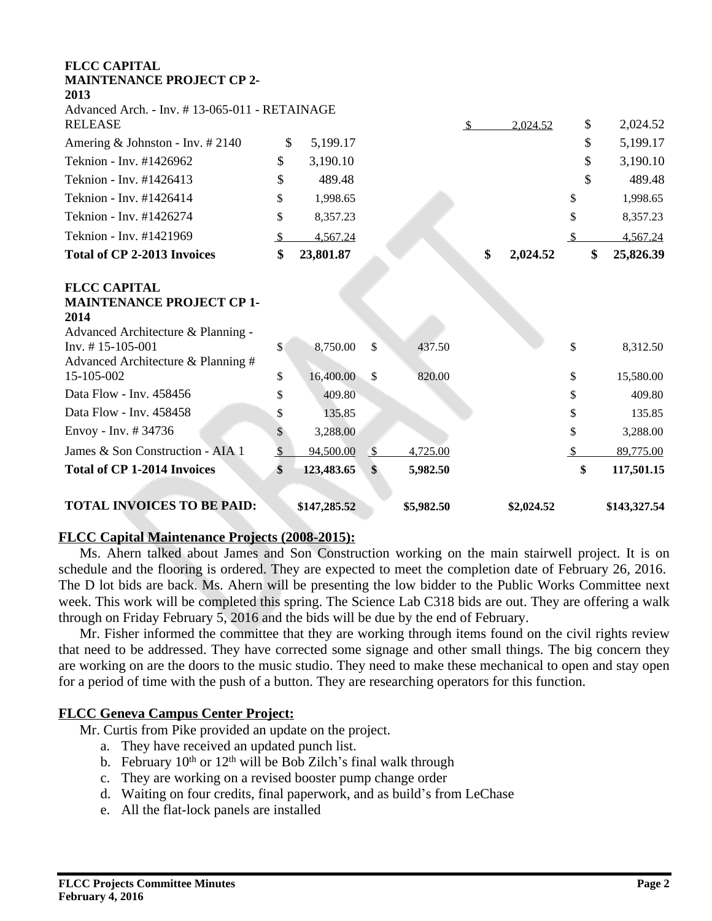| <b>FLCC CAPITAL</b><br><b>MAINTENANCE PROJECT CP 2-</b><br>2013                                       |               |              |               |            |                |            |               |              |
|-------------------------------------------------------------------------------------------------------|---------------|--------------|---------------|------------|----------------|------------|---------------|--------------|
| Advanced Arch. - Inv. #13-065-011 - RETAINAGE<br><b>RELEASE</b>                                       |               |              |               |            | $\mathfrak{D}$ | 2,024.52   | \$            | 2,024.52     |
| Amering & Johnston - Inv. $\#2140$                                                                    | \$            | 5,199.17     |               |            |                |            | \$            | 5,199.17     |
| Teknion - Inv. #1426962                                                                               | \$            | 3,190.10     |               |            |                |            | \$            | 3,190.10     |
| Teknion - Inv. #1426413                                                                               | \$            | 489.48       |               |            |                |            | \$            | 489.48       |
| Teknion - Inv. #1426414                                                                               | \$            | 1,998.65     |               |            |                |            | \$            | 1,998.65     |
| Teknion - Inv. #1426274                                                                               | \$            | 8,357.23     |               |            |                |            | \$            | 8,357.23     |
| Teknion - Inv. #1421969                                                                               | $\mathbb{S}$  | 4,567.24     |               |            |                |            | <sup>\$</sup> | 4,567.24     |
| <b>Total of CP 2-2013 Invoices</b>                                                                    | \$            | 23,801.87    |               |            | \$             | 2,024.52   | \$            | 25,826.39    |
| <b>FLCC CAPITAL</b><br><b>MAINTENANCE PROJECT CP 1-</b><br>2014<br>Advanced Architecture & Planning - |               |              |               |            |                |            |               |              |
| $Inv. # 15-105-001$<br>Advanced Architecture & Planning #                                             | $\mathsf{\$}$ | 8,750.00     | \$            | 437.50     |                |            | \$            | 8,312.50     |
| 15-105-002                                                                                            | \$            | 16,400.00    | \$            | 820.00     |                |            | \$            | 15,580.00    |
| Data Flow - Inv. 458456                                                                               | \$            | 409.80       |               |            |                |            | \$            | 409.80       |
| Data Flow - Inv. 458458                                                                               | \$            | 135.85       |               |            |                |            | \$            | 135.85       |
| Envoy - Inv. #34736                                                                                   | \$            | 3,288.00     |               |            |                |            | \$            | 3,288.00     |
| James & Son Construction - AIA 1                                                                      | $\mathbb{S}$  | 94,500.00    | $\mathcal{S}$ | 4,725.00   |                |            | <sup>\$</sup> | 89,775.00    |
| <b>Total of CP 1-2014 Invoices</b>                                                                    | \$            | 123,483.65   | \$            | 5,982.50   |                |            | \$            | 117,501.15   |
| <b>TOTAL INVOICES TO BE PAID:</b>                                                                     |               | \$147,285.52 |               | \$5,982.50 |                | \$2,024.52 |               | \$143,327.54 |

## **FLCC Capital Maintenance Projects (2008-2015):**

Ms. Ahern talked about James and Son Construction working on the main stairwell project. It is on schedule and the flooring is ordered. They are expected to meet the completion date of February 26, 2016. The D lot bids are back. Ms. Ahern will be presenting the low bidder to the Public Works Committee next week. This work will be completed this spring. The Science Lab C318 bids are out. They are offering a walk through on Friday February 5, 2016 and the bids will be due by the end of February.

Mr. Fisher informed the committee that they are working through items found on the civil rights review that need to be addressed. They have corrected some signage and other small things. The big concern they are working on are the doors to the music studio. They need to make these mechanical to open and stay open for a period of time with the push of a button. They are researching operators for this function.

## **FLCC Geneva Campus Center Project:**

Mr. Curtis from Pike provided an update on the project.

- a. They have received an updated punch list.
- b. February  $10^{th}$  or  $12^{th}$  will be Bob Zilch's final walk through
- c. They are working on a revised booster pump change order
- d. Waiting on four credits, final paperwork, and as build's from LeChase
- e. All the flat-lock panels are installed